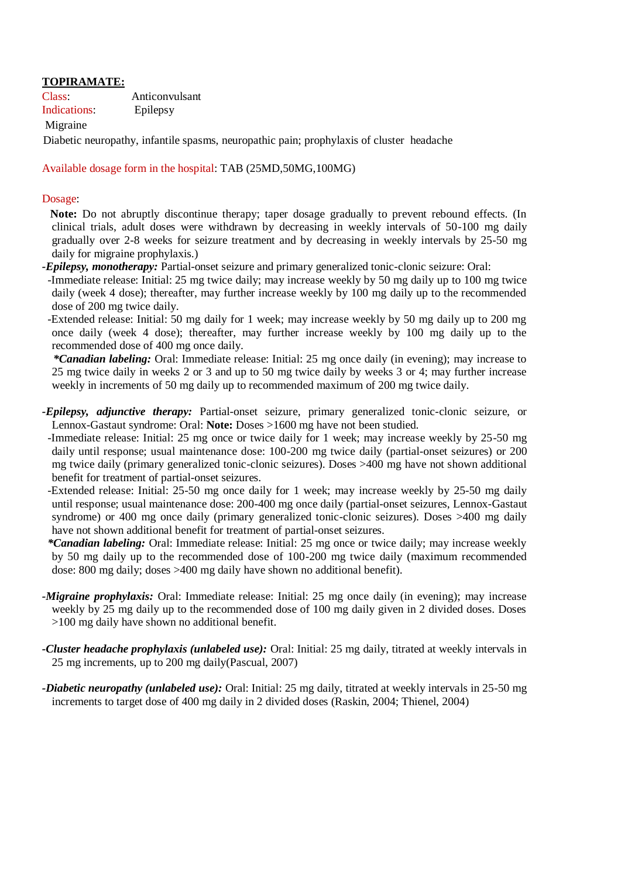# **TOPIRAMATE:**

Class: Anticonvulsant Indications: Epilepsy

#### Migraine

Diabetic neuropathy, infantile spasms, neuropathic pain; prophylaxis of cluster headache

Available dosage form in the hospital: TAB (25MD,50MG,100MG)

#### Dosage:

 **Note:** Do not abruptly discontinue therapy; taper dosage gradually to prevent rebound effects. (In clinical trials, adult doses were withdrawn by decreasing in weekly intervals of 50-100 mg daily gradually over 2-8 weeks for seizure treatment and by decreasing in weekly intervals by 25-50 mg daily for migraine prophylaxis.)

*-Epilepsy, monotherapy:* Partial-onset seizure and primary generalized tonic-clonic seizure: Oral:

 -Immediate release: Initial: 25 mg twice daily; may increase weekly by 50 mg daily up to 100 mg twice daily (week 4 dose); thereafter, may further increase weekly by 100 mg daily up to the recommended dose of 200 mg twice daily.

 -Extended release: Initial: 50 mg daily for 1 week; may increase weekly by 50 mg daily up to 200 mg once daily (week 4 dose); thereafter, may further increase weekly by 100 mg daily up to the recommended dose of 400 mg once daily.

 *\*Canadian labeling:* Oral: Immediate release: Initial: 25 mg once daily (in evening); may increase to 25 mg twice daily in weeks 2 or 3 and up to 50 mg twice daily by weeks 3 or 4; may further increase weekly in increments of 50 mg daily up to recommended maximum of 200 mg twice daily.

- *-Epilepsy, adjunctive therapy:* Partial-onset seizure, primary generalized tonic-clonic seizure, or Lennox-Gastaut syndrome: Oral: **Note:** Doses >1600 mg have not been studied.
- -Immediate release: Initial: 25 mg once or twice daily for 1 week; may increase weekly by 25-50 mg daily until response; usual maintenance dose: 100-200 mg twice daily (partial-onset seizures) or 200 mg twice daily (primary generalized tonic-clonic seizures). Doses >400 mg have not shown additional benefit for treatment of partial-onset seizures.
- -Extended release: Initial: 25-50 mg once daily for 1 week; may increase weekly by 25-50 mg daily until response; usual maintenance dose: 200-400 mg once daily (partial-onset seizures, Lennox-Gastaut syndrome) or 400 mg once daily (primary generalized tonic-clonic seizures). Doses >400 mg daily have not shown additional benefit for treatment of partial-onset seizures.

*\*Canadian labeling:* Oral: Immediate release: Initial: 25 mg once or twice daily; may increase weekly by 50 mg daily up to the recommended dose of 100-200 mg twice daily (maximum recommended dose: 800 mg daily; doses >400 mg daily have shown no additional benefit).

- *-Migraine prophylaxis:* Oral: Immediate release: Initial: 25 mg once daily (in evening); may increase weekly by 25 mg daily up to the recommended dose of 100 mg daily given in 2 divided doses. Doses >100 mg daily have shown no additional benefit.
- *-Cluster headache prophylaxis (unlabeled use):* Oral: Initial: 25 mg daily, titrated at weekly intervals in 25 mg increments, up to 200 mg daily(Pascual, 2007)
- *-Diabetic neuropathy (unlabeled use):* Oral: Initial: 25 mg daily, titrated at weekly intervals in 25-50 mg increments to target dose of 400 mg daily in 2 divided doses (Raskin, 2004; Thienel, 2004)